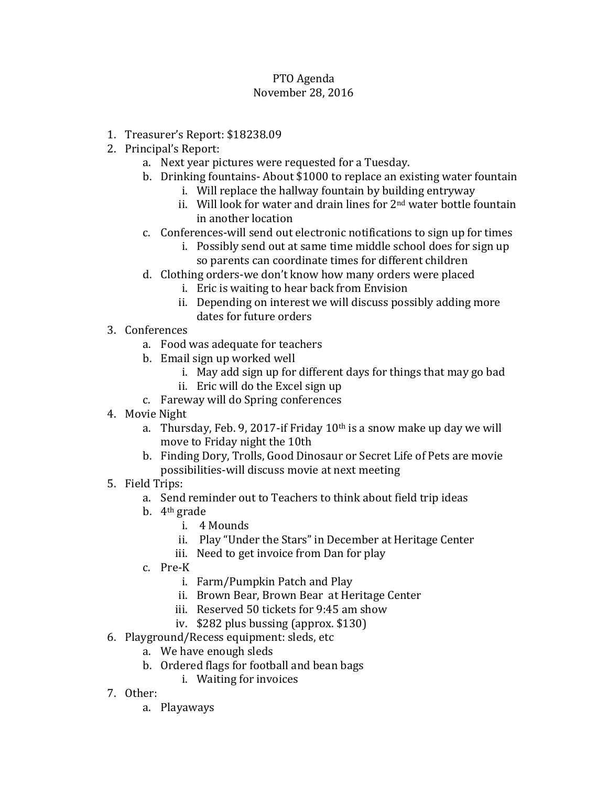## PTO Agenda November 28, 2016

- 1. Treasurer's Report: \$18238.09
- 2. Principal's Report:
	- a. Next year pictures were requested for a Tuesday.
	- b. Drinking fountains- About \$1000 to replace an existing water fountain
		- i. Will replace the hallway fountain by building entryway
		- ii. Will look for water and drain lines for 2<sup>nd</sup> water bottle fountain in another location
	- c. Conferences-will send out electronic notifications to sign up for times
		- i. Possibly send out at same time middle school does for sign up so parents can coordinate times for different children
	- d. Clothing orders-we don't know how many orders were placed
		- i. Eric is waiting to hear back from Envision
		- ii. Depending on interest we will discuss possibly adding more dates for future orders
- 3. Conferences
	- a. Food was adequate for teachers
	- b. Email sign up worked well
		- i. May add sign up for different days for things that may go bad
		- ii. Eric will do the Excel sign up
	- c. Fareway will do Spring conferences
- 4. Movie Night
	- a. Thursday, Feb. 9, 2017-if Friday  $10<sup>th</sup>$  is a snow make up day we will move to Friday night the 10th
	- b. Finding Dory, Trolls, Good Dinosaur or Secret Life of Pets are movie possibilities-will discuss movie at next meeting
- 5. Field Trips:
	- a. Send reminder out to Teachers to think about field trip ideas
	- b. 4th grade
		- i. 4 Mounds
		- ii. Play "Under the Stars" in December at Heritage Center
		- iii. Need to get invoice from Dan for play
	- c. Pre-K
		- i. Farm/Pumpkin Patch and Play
		- ii. Brown Bear, Brown Bear at Heritage Center
		- iii. Reserved 50 tickets for 9:45 am show
		- iv. \$282 plus bussing (approx. \$130)
- 6. Playground/Recess equipment: sleds, etc
	- a. We have enough sleds
		- b. Ordered flags for football and bean bags
			- i. Waiting for invoices
- 7. Other:
	- a. Playaways